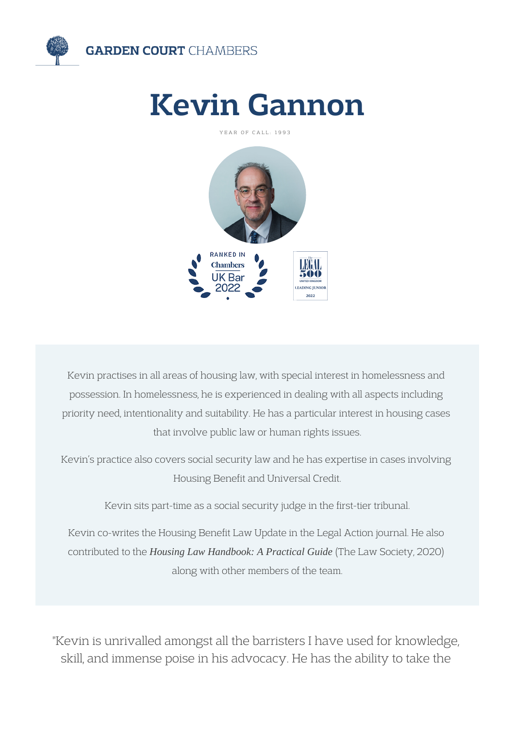

# Kevin Gannon

YEAR OF CALL: 1993



Kevin practises in all areas of housing law, with special interest in homelessness and possession. In homelessness, he is experienced in dealing with all aspects including priority need, intentionality and suitability. He has a particular interest in housing cases that involve public law or human rights issues.

Kevin's practice also covers social security law and he has expertise in cases involving Housing Benefit and Universal Credit.

Kevin sits part-time as a social security judge in the first-tier tribunal.

Kevin co-writes the Housing Benefit Law Update in the Legal Action journal. He also contributed to the *Housing Law Handbook: A Practical Guide* (The Law Society, 2020) along with other members of the team.

"Kevin is unrivalled amongst all the barristers I have used for knowledge, skill, and immense poise in his advocacy. He has the ability to take the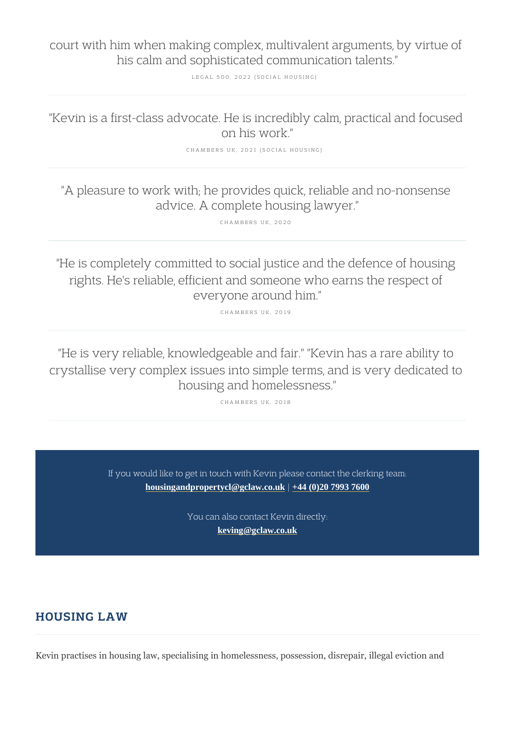court with him when making complex, multivalent a his calm and sophisticated communication

LEGAL 500, 2022 (SOCIAL HOUSING)

"Kevin is a first-class advocate. He is incredibly o on his work."

CHAMBERS UK, 2021 (SOCIAL HOUSING)

"A pleasure to work with; he provides quick, reliable and no-no-nonsensely advice. A complete housing lawyer."

CHAMBERS UK, 2020

"He is completely committed to social justice and rights. He's reliable, efficient and someone who everyone around him."

CHAMBERS UK, 2019

"He is very reliable, knowledgeable and fair." "Ke crystallise very complex issues into simple terms, housing and homelessness."

CHAMBERS UK, 2018

If you would like to get in touch with Kevin please contad [housingandpropertycl@gclaw.co.uk](mailto:housingandpropertycl@gclaw.co.uk)[|+44 \(0\)20 7993 760](tel:+44 (0)20 7993 7600)0

> You can also contact Kevin directly: [keving@gclaw.co.uk](mailto:keving@gclaw.co.uk)

## HOUSING LAW

Kevin practises in housing law, specialising in homelessness, possession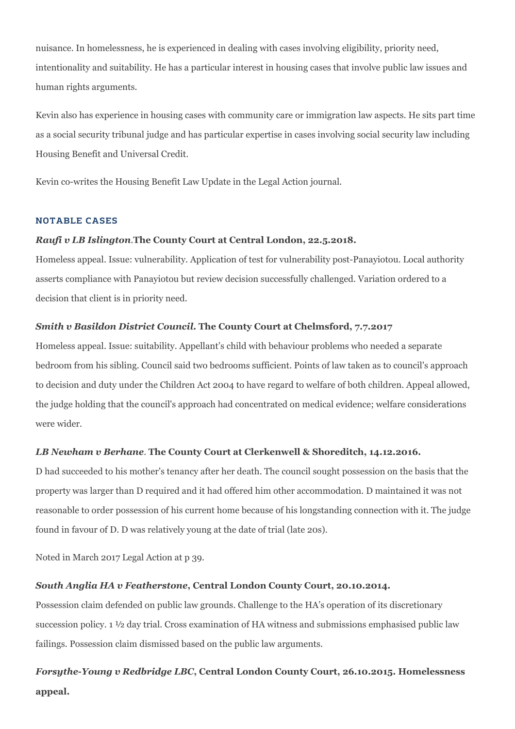nuisance. In homelessness, he is experienced in dealing with cases involving eligibility, priority need, intentionality and suitability. He has a particular interest in housing cases that involve public law issues and human rights arguments.

Kevin also has experience in housing cases with community care or immigration law aspects. He sits part time as a social security tribunal judge and has particular expertise in cases involving social security law including Housing Benefit and Universal Credit.

Kevin co-writes the Housing Benefit Law Update in the Legal Action journal.

#### NOTABLE CASES

## *Raufi v LB Islington.***The County Court at Central London, 22.5.2018.**

Homeless appeal. Issue: vulnerability. Application of test for vulnerability post-Panayiotou. Local authority asserts compliance with Panayiotou but review decision successfully challenged. Variation ordered to a decision that client is in priority need.

## *Smith v Basildon District Council***. The County Court at Chelmsford, 7.7.2017**

Homeless appeal. Issue: suitability. Appellant's child with behaviour problems who needed a separate bedroom from his sibling. Council said two bedrooms sufficient. Points of law taken as to council's approach to decision and duty under the Children Act 2004 to have regard to welfare of both children. Appeal allowed, the judge holding that the council's approach had concentrated on medical evidence; welfare considerations were wider.

## *LB Newham v Berhane*. **The County Court at Clerkenwell & Shoreditch, 14.12.2016.**

D had succeeded to his mother's tenancy after her death. The council sought possession on the basis that the property was larger than D required and it had offered him other accommodation. D maintained it was not reasonable to order possession of his current home because of his longstanding connection with it. The judge found in favour of D. D was relatively young at the date of trial (late 20s).

Noted in March 2017 Legal Action at p 39.

## *South Anglia HA v Featherstone***, Central London County Court, 20.10.2014.**

Possession claim defended on public law grounds. Challenge to the HA's operation of its discretionary succession policy. 1 ½ day trial. Cross examination of HA witness and submissions emphasised public law failings. Possession claim dismissed based on the public law arguments.

# *Forsythe-Young v Redbridge LBC***, Central London County Court, 26.10.2015. Homelessness appeal.**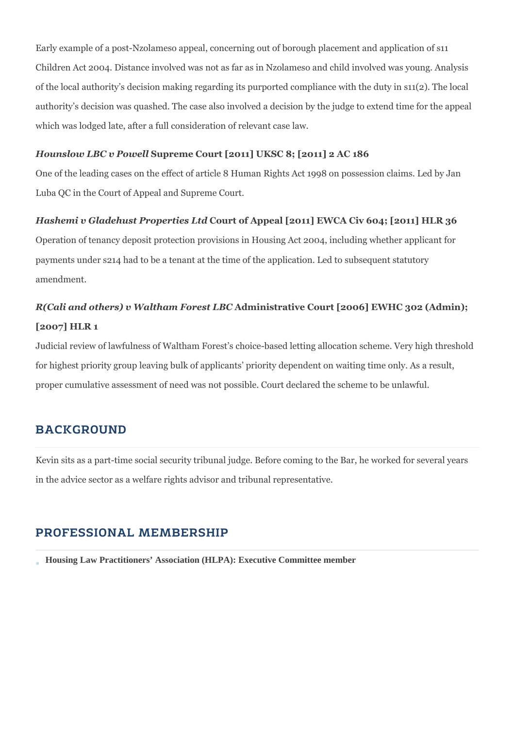Early example of a post-Nzolameso appeal, concerning out of borough placement and application of s11 Children Act 2004. Distance involved was not as far as in Nzolameso and child involved was young. Analysis of the local authority's decision making regarding its purported compliance with the duty in s11(2). The local authority's decision was quashed. The case also involved a decision by the judge to extend time for the appeal which was lodged late, after a full consideration of relevant case law.

## *Hounslow LBC v Powell* **Supreme Court [2011] UKSC 8; [2011] 2 AC 186**

One of the leading cases on the effect of article 8 Human Rights Act 1998 on possession claims. Led by Jan Luba QC in the Court of Appeal and Supreme Court.

#### *Hashemi v Gladehust Properties Ltd* **Court of Appeal [2011] EWCA Civ 604; [2011] HLR 36**

Operation of tenancy deposit protection provisions in Housing Act 2004, including whether applicant for payments under s214 had to be a tenant at the time of the application. Led to subsequent statutory amendment.

# *R(Cali and others) v Waltham Forest LBC* **Administrative Court [2006] EWHC 302 (Admin); [2007] HLR 1**

Judicial review of lawfulness of Waltham Forest's choice-based letting allocation scheme. Very high threshold for highest priority group leaving bulk of applicants' priority dependent on waiting time only. As a result, proper cumulative assessment of need was not possible. Court declared the scheme to be unlawful.

## BACKGROUND

Kevin sits as a part-time social security tribunal judge. Before coming to the Bar, he worked for several years in the advice sector as a welfare rights advisor and tribunal representative.

## PROFESSIONAL MEMBERSHIP

**Housing Law Practitioners' Association (HLPA): Executive Committee member**